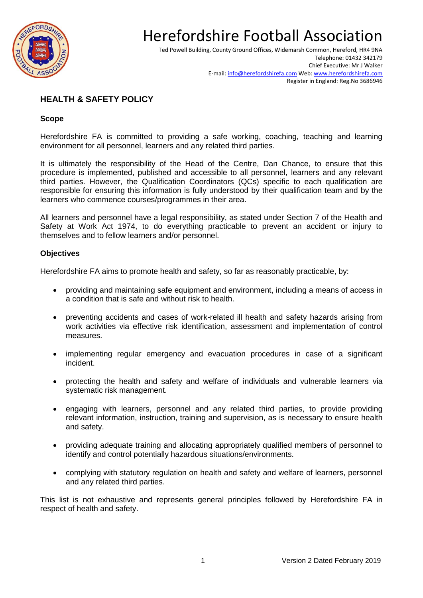

Ted Powell Building, County Ground Offices, Widemarsh Common, Hereford, HR4 9NA Telephone: 01432 342179 Chief Executive: Mr J Walker E-mail[: info@herefordshirefa.com](mailto:info@herefordshirefa.com) Web: [www.herefordshirefa.com](http://www.herefordshirefa.com/) Register in England: Reg.No 3686946

### **HEALTH & SAFETY POLICY**

#### **Scope**

Herefordshire FA is committed to providing a safe working, coaching, teaching and learning environment for all personnel, learners and any related third parties.

It is ultimately the responsibility of the Head of the Centre, Dan Chance, to ensure that this procedure is implemented, published and accessible to all personnel, learners and any relevant third parties. However, the Qualification Coordinators (QCs) specific to each qualification are responsible for ensuring this information is fully understood by their qualification team and by the learners who commence courses/programmes in their area.

All learners and personnel have a legal responsibility, as stated under Section 7 of the Health and Safety at Work Act 1974, to do everything practicable to prevent an accident or injury to themselves and to fellow learners and/or personnel.

#### **Objectives**

Herefordshire FA aims to promote health and safety, so far as reasonably practicable, by:

- providing and maintaining safe equipment and environment, including a means of access in a condition that is safe and without risk to health.
- preventing accidents and cases of work-related ill health and safety hazards arising from work activities via effective risk identification, assessment and implementation of control measures.
- implementing regular emergency and evacuation procedures in case of a significant incident.
- protecting the health and safety and welfare of individuals and vulnerable learners via systematic risk management.
- engaging with learners, personnel and any related third parties, to provide providing relevant information, instruction, training and supervision, as is necessary to ensure health and safety.
- providing adequate training and allocating appropriately qualified members of personnel to identify and control potentially hazardous situations/environments.
- complying with statutory regulation on health and safety and welfare of learners, personnel and any related third parties.

This list is not exhaustive and represents general principles followed by Herefordshire FA in respect of health and safety.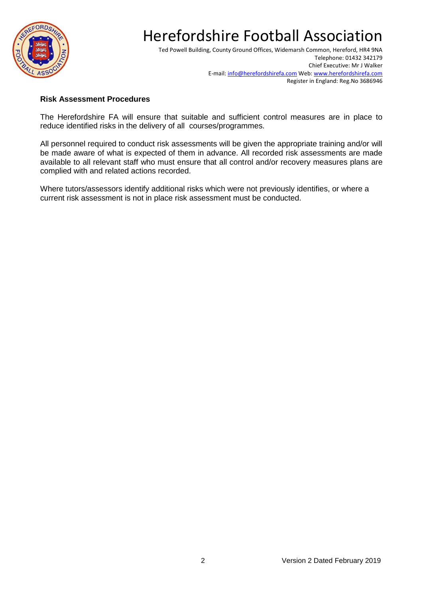

Ted Powell Building, County Ground Offices, Widemarsh Common, Hereford, HR4 9NA Telephone: 01432 342179 Chief Executive: Mr J Walker E-mail[: info@herefordshirefa.com](mailto:info@herefordshirefa.com) Web: [www.herefordshirefa.com](http://www.herefordshirefa.com/) Register in England: Reg.No 3686946

#### **Risk Assessment Procedures**

The Herefordshire FA will ensure that suitable and sufficient control measures are in place to reduce identified risks in the delivery of all courses/programmes.

All personnel required to conduct risk assessments will be given the appropriate training and/or will be made aware of what is expected of them in advance. All recorded risk assessments are made available to all relevant staff who must ensure that all control and/or recovery measures plans are complied with and related actions recorded.

Where tutors/assessors identify additional risks which were not previously identifies, or where a current risk assessment is not in place risk assessment must be conducted.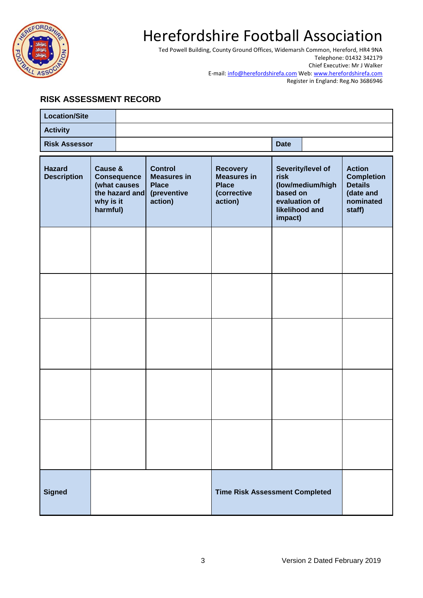

Ted Powell Building, County Ground Offices, Widemarsh Common, Hereford, HR4 9NA Telephone: 01432 342179 Chief Executive: Mr J Walker E-mail[: info@herefordshirefa.com](mailto:info@herefordshirefa.com) Web: [www.herefordshirefa.com](http://www.herefordshirefa.com/) Register in England: Reg.No 3686946

### **RISK ASSESSMENT RECORD**

| <b>Location/Site</b>                                                                                                            |  |                                                                                |                                                                                 |                                                                                                         |  |                                                                                          |  |
|---------------------------------------------------------------------------------------------------------------------------------|--|--------------------------------------------------------------------------------|---------------------------------------------------------------------------------|---------------------------------------------------------------------------------------------------------|--|------------------------------------------------------------------------------------------|--|
| <b>Activity</b>                                                                                                                 |  |                                                                                |                                                                                 |                                                                                                         |  |                                                                                          |  |
| <b>Risk Assessor</b>                                                                                                            |  |                                                                                |                                                                                 |                                                                                                         |  | <b>Date</b>                                                                              |  |
| <b>Hazard</b><br>Cause &<br><b>Description</b><br><b>Consequence</b><br>(what causes<br>the hazard and<br>why is it<br>harmful) |  | <b>Control</b><br><b>Measures in</b><br><b>Place</b><br>(preventive<br>action) | <b>Recovery</b><br><b>Measures in</b><br><b>Place</b><br>(corrective<br>action) | Severity/level of<br>risk<br>(low/medium/high<br>based on<br>evaluation of<br>likelihood and<br>impact) |  | <b>Action</b><br><b>Completion</b><br><b>Details</b><br>(date and<br>nominated<br>staff) |  |
|                                                                                                                                 |  |                                                                                |                                                                                 |                                                                                                         |  |                                                                                          |  |
|                                                                                                                                 |  |                                                                                |                                                                                 |                                                                                                         |  |                                                                                          |  |
|                                                                                                                                 |  |                                                                                |                                                                                 |                                                                                                         |  |                                                                                          |  |
|                                                                                                                                 |  |                                                                                |                                                                                 |                                                                                                         |  |                                                                                          |  |
|                                                                                                                                 |  |                                                                                |                                                                                 |                                                                                                         |  |                                                                                          |  |
| <b>Signed</b>                                                                                                                   |  |                                                                                |                                                                                 | <b>Time Risk Assessment Completed</b>                                                                   |  |                                                                                          |  |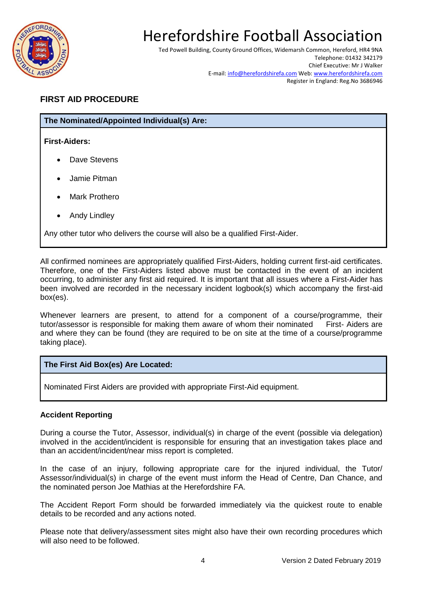

Ted Powell Building, County Ground Offices, Widemarsh Common, Hereford, HR4 9NA Telephone: 01432 342179 Chief Executive: Mr J Walker E-mail[: info@herefordshirefa.com](mailto:info@herefordshirefa.com) Web: [www.herefordshirefa.com](http://www.herefordshirefa.com/) Register in England: Reg.No 3686946

### **FIRST AID PROCEDURE**

#### **The Nominated/Appointed Individual(s) Are:**

**First-Aiders:**

- Dave Stevens
- Jamie Pitman
- Mark Prothero
- Andy Lindley

Any other tutor who delivers the course will also be a qualified First-Aider.

All confirmed nominees are appropriately qualified First-Aiders, holding current first-aid certificates. Therefore, one of the First-Aiders listed above must be contacted in the event of an incident occurring, to administer any first aid required. It is important that all issues where a First-Aider has been involved are recorded in the necessary incident logbook(s) which accompany the first-aid box(es).

Whenever learners are present, to attend for a component of a course/programme, their tutor/assessor is responsible for making them aware of whom their nominated First- Aiders are and where they can be found (they are required to be on site at the time of a course/programme taking place).

#### **The First Aid Box(es) Are Located:**

Nominated First Aiders are provided with appropriate First-Aid equipment.

#### **Accident Reporting**

During a course the Tutor, Assessor, individual(s) in charge of the event (possible via delegation) involved in the accident/incident is responsible for ensuring that an investigation takes place and than an accident/incident/near miss report is completed.

In the case of an injury, following appropriate care for the injured individual, the Tutor/ Assessor/individual(s) in charge of the event must inform the Head of Centre, Dan Chance, and the nominated person Joe Mathias at the Herefordshire FA.

The Accident Report Form should be forwarded immediately via the quickest route to enable details to be recorded and any actions noted.

Please note that delivery/assessment sites might also have their own recording procedures which will also need to be followed.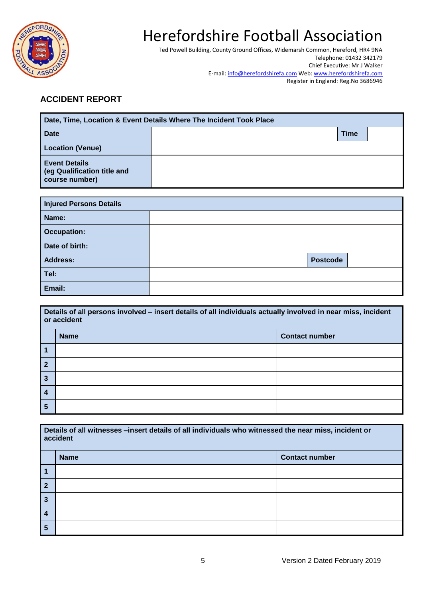

Ted Powell Building, County Ground Offices, Widemarsh Common, Hereford, HR4 9NA Telephone: 01432 342179 Chief Executive: Mr J Walker E-mail[: info@herefordshirefa.com](mailto:info@herefordshirefa.com) Web: [www.herefordshirefa.com](http://www.herefordshirefa.com/) Register in England: Reg.No 3686946

### **ACCIDENT REPORT**

| Date, Time, Location & Event Details Where The Incident Took Place    |  |             |  |  |
|-----------------------------------------------------------------------|--|-------------|--|--|
| <b>Date</b>                                                           |  | <b>Time</b> |  |  |
| <b>Location (Venue)</b>                                               |  |             |  |  |
| <b>Event Details</b><br>(eg Qualification title and<br>course number) |  |             |  |  |

| <b>Injured Persons Details</b> |                 |  |  |  |
|--------------------------------|-----------------|--|--|--|
| Name:                          |                 |  |  |  |
| <b>Occupation:</b>             |                 |  |  |  |
| Date of birth:                 |                 |  |  |  |
| <b>Address:</b>                | <b>Postcode</b> |  |  |  |
| Tel:                           |                 |  |  |  |
| Email:                         |                 |  |  |  |

| Details of all persons involved - insert details of all individuals actually involved in near miss, incident<br>or accident |                                      |  |  |  |
|-----------------------------------------------------------------------------------------------------------------------------|--------------------------------------|--|--|--|
|                                                                                                                             | <b>Name</b><br><b>Contact number</b> |  |  |  |
|                                                                                                                             |                                      |  |  |  |
| 2                                                                                                                           |                                      |  |  |  |
| 3                                                                                                                           |                                      |  |  |  |
| $\boldsymbol{4}$                                                                                                            |                                      |  |  |  |
| 5                                                                                                                           |                                      |  |  |  |

| Details of all witnesses -insert details of all individuals who witnessed the near miss, incident or<br>accident |             |                       |  |  |
|------------------------------------------------------------------------------------------------------------------|-------------|-----------------------|--|--|
|                                                                                                                  | <b>Name</b> | <b>Contact number</b> |  |  |
| 1                                                                                                                |             |                       |  |  |
| $\mathbf{2}$                                                                                                     |             |                       |  |  |
| 3                                                                                                                |             |                       |  |  |
| 4                                                                                                                |             |                       |  |  |
| 5                                                                                                                |             |                       |  |  |